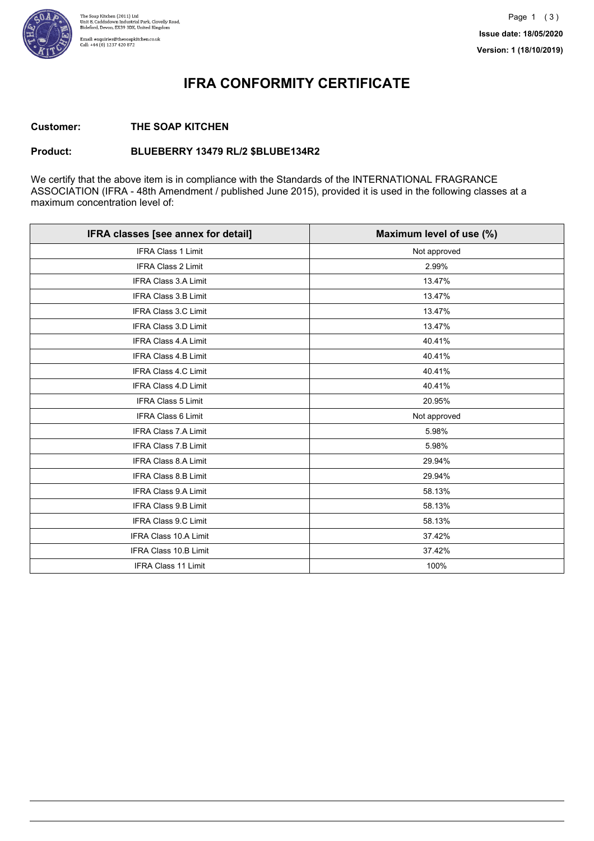

### **IFRA CONFORMITY CERTIFICATE**

#### **Customer: THE SOAP KITCHEN**

#### **Product: BLUEBERRY 13479 RL/2 \$BLUBE134R2**

We certify that the above item is in compliance with the Standards of the INTERNATIONAL FRAGRANCE ASSOCIATION (IFRA - 48th Amendment / published June 2015), provided it is used in the following classes at a maximum concentration level of:

| IFRA classes [see annex for detail] | Maximum level of use (%) |
|-------------------------------------|--------------------------|
| <b>IFRA Class 1 Limit</b>           | Not approved             |
| <b>IFRA Class 2 Limit</b>           | 2.99%                    |
| IFRA Class 3.A Limit                | 13.47%                   |
| IFRA Class 3.B Limit                | 13.47%                   |
| <b>IFRA Class 3.C Limit</b>         | 13.47%                   |
| IFRA Class 3.D Limit                | 13.47%                   |
| <b>IFRA Class 4.A Limit</b>         | 40.41%                   |
| <b>IFRA Class 4.B Limit</b>         | 40.41%                   |
| <b>IFRA Class 4.C Limit</b>         | 40.41%                   |
| <b>IFRA Class 4.D Limit</b>         | 40.41%                   |
| <b>IFRA Class 5 Limit</b>           | 20.95%                   |
| IFRA Class 6 Limit                  | Not approved             |
| <b>IFRA Class 7.A Limit</b>         | 5.98%                    |
| <b>IFRA Class 7.B Limit</b>         | 5.98%                    |
| IFRA Class 8.A Limit                | 29.94%                   |
| IFRA Class 8.B Limit                | 29.94%                   |
| IFRA Class 9.A Limit                | 58.13%                   |
| <b>IFRA Class 9.B Limit</b>         | 58.13%                   |
| <b>IFRA Class 9.C Limit</b>         | 58.13%                   |
| <b>IFRA Class 10.A Limit</b>        | 37.42%                   |
| <b>IFRA Class 10.B Limit</b>        | 37.42%                   |
| <b>IFRA Class 11 Limit</b>          | 100%                     |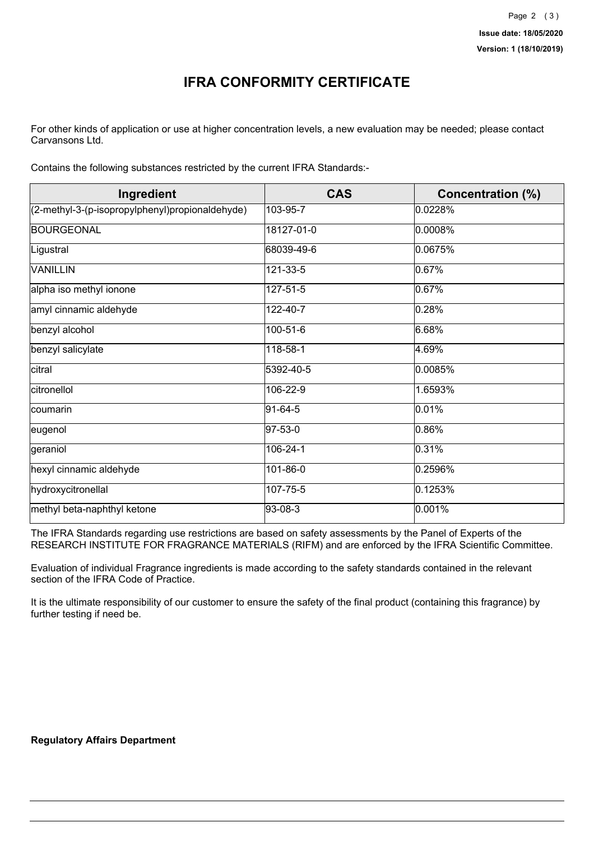## **IFRA CONFORMITY CERTIFICATE**

For other kinds of application or use at higher concentration levels, a new evaluation may be needed; please contact Carvansons Ltd.

Contains the following substances restricted by the current IFRA Standards:-

| Ingredient                                      | <b>CAS</b> | <b>Concentration (%)</b> |
|-------------------------------------------------|------------|--------------------------|
| (2-methyl-3-(p-isopropylphenyl)propionaldehyde) | 103-95-7   | 0.0228%                  |
| <b>BOURGEONAL</b>                               | 18127-01-0 | 0.0008%                  |
| Ligustral                                       | 68039-49-6 | 0.0675%                  |
| <b>VANILLIN</b>                                 | 121-33-5   | 0.67%                    |
| alpha iso methyl ionone                         | 127-51-5   | 0.67%                    |
| amyl cinnamic aldehyde                          | 122-40-7   | 0.28%                    |
| benzyl alcohol                                  | 100-51-6   | 6.68%                    |
| benzyl salicylate                               | 118-58-1   | 4.69%                    |
| citral                                          | 5392-40-5  | 0.0085%                  |
| citronellol                                     | 106-22-9   | 1.6593%                  |
| coumarin                                        | 91-64-5    | 0.01%                    |
| ∣eugenol                                        | 97-53-0    | 0.86%                    |
| geraniol                                        | 106-24-1   | 0.31%                    |
| hexyl cinnamic aldehyde                         | 101-86-0   | 0.2596%                  |
| hydroxycitronellal                              | 107-75-5   | 0.1253%                  |
| methyl beta-naphthyl ketone                     | 93-08-3    | 0.001%                   |

The IFRA Standards regarding use restrictions are based on safety assessments by the Panel of Experts of the RESEARCH INSTITUTE FOR FRAGRANCE MATERIALS (RIFM) and are enforced by the IFRA Scientific Committee.

Evaluation of individual Fragrance ingredients is made according to the safety standards contained in the relevant section of the IFRA Code of Practice.

It is the ultimate responsibility of our customer to ensure the safety of the final product (containing this fragrance) by further testing if need be.

#### **Regulatory Affairs Department**